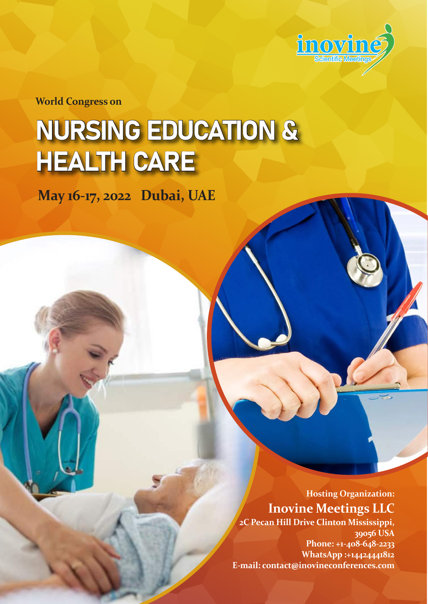

**World Congress on**

# NURSING EDUCATION & HEALTH CARE

**May 16-17, 2022 Dubai, UAE**

**Hosting Organization: Inovine Meetings LLC**

**2C Pecan Hill Drive Clinton Mississippi, 39056 USA Phone: +1-408-648-2233 WhatsApp :+14424441812 E-mail: contact@inovineconferences.com**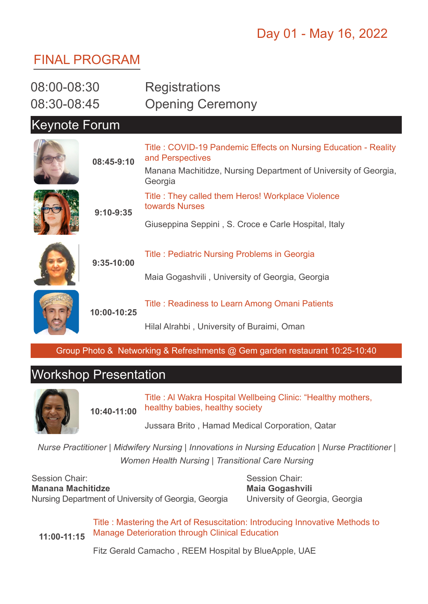# Day 01 - May 16, 2022

## FINAL PROGRAM

| 08:00-08:30          |              | <b>Registrations</b>                                                                |
|----------------------|--------------|-------------------------------------------------------------------------------------|
| 08:30-08:45          |              | <b>Opening Ceremony</b>                                                             |
| <b>Keynote Forum</b> |              |                                                                                     |
|                      | 08:45-9:10   | Title: COVID-19 Pandemic Effects on Nursing Education - Reality<br>and Perspectives |
|                      |              | Manana Machitidze, Nursing Department of University of Georgia,<br>Georgia          |
|                      | $9:10-9:35$  | Title: They called them Heros! Workplace Violence<br>towards Nurses                 |
|                      |              | Giuseppina Seppini, S. Croce e Carle Hospital, Italy                                |
|                      | $9:35-10:00$ | <b>Title: Pediatric Nursing Problems in Georgia</b>                                 |
|                      |              | Maia Gogashvili, University of Georgia, Georgia                                     |
|                      | 10:00-10:25  | Title: Readiness to Learn Among Omani Patients                                      |
|                      |              | Hilal Alrahbi, University of Buraimi, Oman                                          |

Group Photo & Networking & Refreshments @ Gem garden restaurant 10:25-10:40

## Workshop Presentation



**10:40-11:00** Title : Al Wakra Hospital Wellbeing Clinic: "Healthy mothers, healthy babies, healthy society

Jussara Brito , Hamad Medical Corporation, Qatar

*Nurse Practitioner | Midwifery Nursing | Innovations in Nursing Education | Nurse Practitioner | Women Health Nursing | Transitional Care Nursing*

Session Chair: **Manana Machitidze** Nursing Department of University of Georgia, Georgia

Session Chair: **Maia Gogashvili**  University of Georgia, Georgia

**11:00-11:15** Title : Mastering the Art of Resuscitation: Introducing Innovative Methods to Manage Deterioration through Clinical Education

Fitz Gerald Camacho , REEM Hospital by BlueApple, UAE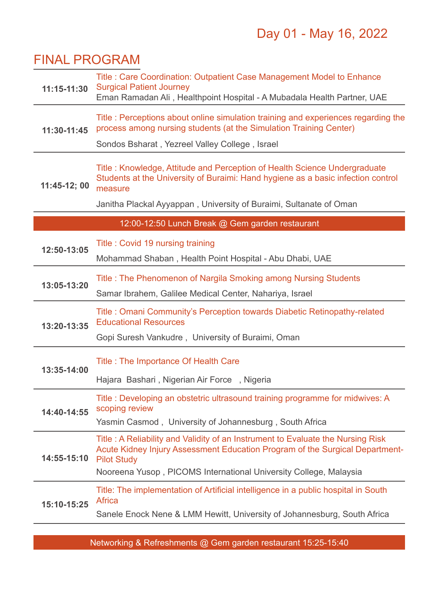# Day 01 - May 16, 2022

#### FINAL PROGRAM

| 11:15-11:30  | Title: Care Coordination: Outpatient Case Management Model to Enhance<br><b>Surgical Patient Journey</b><br>Eman Ramadan Ali, Healthpoint Hospital - A Mubadala Health Partner, UAE   |  |  |  |
|--------------|---------------------------------------------------------------------------------------------------------------------------------------------------------------------------------------|--|--|--|
| 11:30-11:45  | Title: Perceptions about online simulation training and experiences regarding the<br>process among nursing students (at the Simulation Training Center)                               |  |  |  |
|              | Sondos Bsharat, Yezreel Valley College, Israel                                                                                                                                        |  |  |  |
| 11:45-12; 00 | Title: Knowledge, Attitude and Perception of Health Science Undergraduate<br>Students at the University of Buraimi: Hand hygiene as a basic infection control<br>measure              |  |  |  |
|              | Janitha Plackal Ayyappan, University of Buraimi, Sultanate of Oman                                                                                                                    |  |  |  |
|              | 12:00-12:50 Lunch Break @ Gem garden restaurant                                                                                                                                       |  |  |  |
| 12:50-13:05  | Title: Covid 19 nursing training                                                                                                                                                      |  |  |  |
|              | Mohammad Shaban, Health Point Hospital - Abu Dhabi, UAE                                                                                                                               |  |  |  |
| 13:05-13:20  | Title: The Phenomenon of Nargila Smoking among Nursing Students                                                                                                                       |  |  |  |
|              | Samar Ibrahem, Galilee Medical Center, Nahariya, Israel                                                                                                                               |  |  |  |
| 13:20-13:35  | Title: Omani Community's Perception towards Diabetic Retinopathy-related<br><b>Educational Resources</b>                                                                              |  |  |  |
|              | Gopi Suresh Vankudre, University of Buraimi, Oman                                                                                                                                     |  |  |  |
|              | <b>Title: The Importance Of Health Care</b>                                                                                                                                           |  |  |  |
| 13:35-14:00  | Hajara Bashari, Nigerian Air Force, Nigeria                                                                                                                                           |  |  |  |
|              |                                                                                                                                                                                       |  |  |  |
| 14:40-14:55  | Title: Developing an obstetric ultrasound training programme for midwives: A<br>scoping review                                                                                        |  |  |  |
|              | Yasmin Casmod, University of Johannesburg, South Africa                                                                                                                               |  |  |  |
| 14:55-15:10  | Title: A Reliability and Validity of an Instrument to Evaluate the Nursing Risk<br>Acute Kidney Injury Assessment Education Program of the Surgical Department-<br><b>Pilot Study</b> |  |  |  |
|              | Nooreena Yusop, PICOMS International University College, Malaysia                                                                                                                     |  |  |  |
| 15:10-15:25  | Title: The implementation of Artificial intelligence in a public hospital in South<br><b>Africa</b>                                                                                   |  |  |  |
|              | Sanele Enock Nene & LMM Hewitt, University of Johannesburg, South Africa                                                                                                              |  |  |  |

Networking & Refreshments @ Gem garden restaurant 15:25-15:40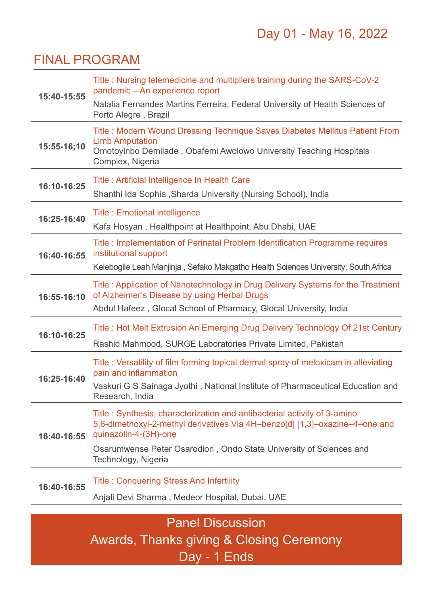#### FINAL PROGRAM

| 15:40-15:55             | Title: Nursing telemedicine and multipliers training during the SARS-CoV-2<br>pandemic - An experience report                                                                                   |  |  |  |
|-------------------------|-------------------------------------------------------------------------------------------------------------------------------------------------------------------------------------------------|--|--|--|
|                         | Natalia Fernandes Martins Ferreira, Federal University of Health Sciences of<br>Porto Alegre, Brazil                                                                                            |  |  |  |
| 15:55-16;10             | Title: Modern Wound Dressing Technique Saves Diabetes Mellitus Patient From<br><b>Limb Amputation</b><br>Omotoyinbo Demilade, Obafemi Awolowo University Teaching Hospitals<br>Complex, Nigeria |  |  |  |
| 16:10-16:25             | Title: Artificial Intelligence In Health Care<br>Shanthi Ida Sophia, Sharda University (Nursing School), India                                                                                  |  |  |  |
| 16:25-16:40             | <b>Title: Emotional intelligence</b>                                                                                                                                                            |  |  |  |
| 16:40-16:55             | Kafa Hosyan, Healthpoint at Healthpoint, Abu Dhabi, UAE                                                                                                                                         |  |  |  |
|                         | Title: Implementation of Perinatal Problem Identification Programme requires<br>institutional support                                                                                           |  |  |  |
|                         | Kelebogile Leah Manjinja, Sefako Makgatho Health Sciences University; South Africa                                                                                                              |  |  |  |
| 16:55-16:10             | Title: Application of Nanotechnology in Drug Delivery Systems for the Treatment<br>of Alzheimer's Disease by using Herbal Drugs                                                                 |  |  |  |
|                         | Abdul Hafeez, Glocal School of Pharmacy, Glocal University, India                                                                                                                               |  |  |  |
| 16:10-16:25             | Title: Hot Melt Extrusion An Emerging Drug Delivery Technology Of 21st Century                                                                                                                  |  |  |  |
|                         | Rashid Mahmood, SURGE Laboratories Private Limited, Pakistan                                                                                                                                    |  |  |  |
| 16:25-16:40             | Title: Versatility of film forming topical dermal spray of meloxicam in alleviating<br>pain and inflammation                                                                                    |  |  |  |
|                         | Vaskuri G S Sainaga Jyothi, National Institute of Pharmaceutical Education and<br>Research, India                                                                                               |  |  |  |
| 16:40-16:55             | Title: Synthesis, characterization and antibacterial activity of 3-amino<br>5,6-dimethoxyl-2-methyl derivatives Via 4H-benzo[d] [1,3]-oxazine-4-one and<br>quinazolin-4-(3H)-one                |  |  |  |
|                         | Osarumwense Peter Osarodion, Ondo State University of Sciences and<br>Technology, Nigeria                                                                                                       |  |  |  |
| 16:40-16:55             | <b>Title: Conquering Stress And Infertility</b>                                                                                                                                                 |  |  |  |
|                         | Anjali Devi Sharma, Medeor Hospital, Dubai, UAE                                                                                                                                                 |  |  |  |
| <b>Panel Discussion</b> |                                                                                                                                                                                                 |  |  |  |
|                         |                                                                                                                                                                                                 |  |  |  |

Awards, Thanks giving & Closing Ceremony Day - 1 Ends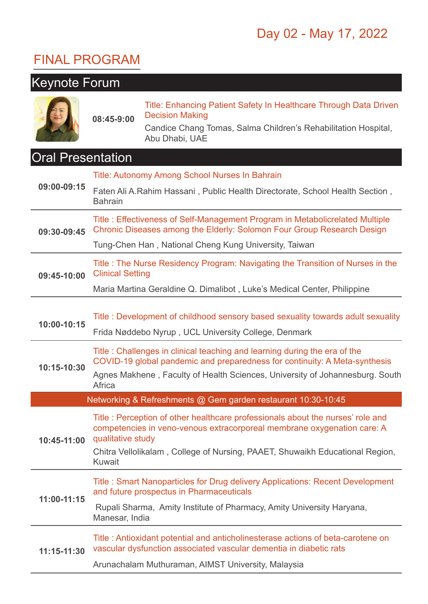# Day 02 - May 17, 2022

## FINAL PROGRAM

| <b>Keynote Forum</b>     |                                                                                                                                                        |                                                                                                                                                           |  |
|--------------------------|--------------------------------------------------------------------------------------------------------------------------------------------------------|-----------------------------------------------------------------------------------------------------------------------------------------------------------|--|
|                          | 08:45-9:00                                                                                                                                             | Title: Enhancing Patient Safety In Healthcare Through Data Driven<br><b>Decision Making</b>                                                               |  |
|                          |                                                                                                                                                        | Candice Chang Tomas, Salma Children's Rehabilitation Hospital,<br>Abu Dhabi, UAE                                                                          |  |
| <b>Oral Presentation</b> |                                                                                                                                                        |                                                                                                                                                           |  |
| 09:00-09:15              |                                                                                                                                                        | Title: Autonomy Among School Nurses In Bahrain                                                                                                            |  |
|                          | Faten Ali A. Rahim Hassani, Public Health Directorate, School Health Section,<br><b>Bahrain</b>                                                        |                                                                                                                                                           |  |
| 09:30-09:45              | Title: Effectiveness of Self-Management Program in Metabolicrelated Multiple<br>Chronic Diseases among the Elderly: Solomon Four Group Research Design |                                                                                                                                                           |  |
|                          | Tung-Chen Han, National Cheng Kung University, Taiwan                                                                                                  |                                                                                                                                                           |  |
| 09:45-10:00              | Title: The Nurse Residency Program: Navigating the Transition of Nurses in the<br><b>Clinical Setting</b>                                              |                                                                                                                                                           |  |
|                          | Maria Martina Geraldine Q. Dimalibot, Luke's Medical Center, Philippine                                                                                |                                                                                                                                                           |  |
|                          |                                                                                                                                                        |                                                                                                                                                           |  |
| 10:00-10:15              | Title: Development of childhood sensory based sexuality towards adult sexuality<br>Frida Nøddebo Nyrup, UCL University College, Denmark                |                                                                                                                                                           |  |
|                          |                                                                                                                                                        | Title: Challenges in clinical teaching and learning during the era of the                                                                                 |  |
| 10:15-10:30              | COVID-19 global pandemic and preparedness for continuity: A Meta-synthesis                                                                             |                                                                                                                                                           |  |
|                          | Agnes Makhene, Faculty of Health Sciences, University of Johannesburg. South<br>Africa                                                                 |                                                                                                                                                           |  |
|                          |                                                                                                                                                        | Networking & Refreshments @ Gem garden restaurant 10:30-10:45                                                                                             |  |
| 10:45-11:00              | qualitative study                                                                                                                                      | Title: Perception of other healthcare professionals about the nurses' role and<br>competencies in veno-venous extracorporeal membrane oxygenation care: A |  |
|                          | Chitra Vellolikalam, College of Nursing, PAAET, Shuwaikh Educational Region,<br>Kuwait                                                                 |                                                                                                                                                           |  |
| 11:00-11:15              | Title: Smart Nanoparticles for Drug delivery Applications: Recent Development<br>and future prospectus in Pharmaceuticals                              |                                                                                                                                                           |  |
|                          | Rupali Sharma, Amity Institute of Pharmacy, Amity University Haryana,<br>Manesar, India                                                                |                                                                                                                                                           |  |
| 11:15-11:30              |                                                                                                                                                        | Title: Antioxidant potential and anticholinesterase actions of beta-carotene on<br>vascular dysfunction associated vascular dementia in diabetic rats     |  |
|                          | Arunachalam Muthuraman, AIMST University, Malaysia                                                                                                     |                                                                                                                                                           |  |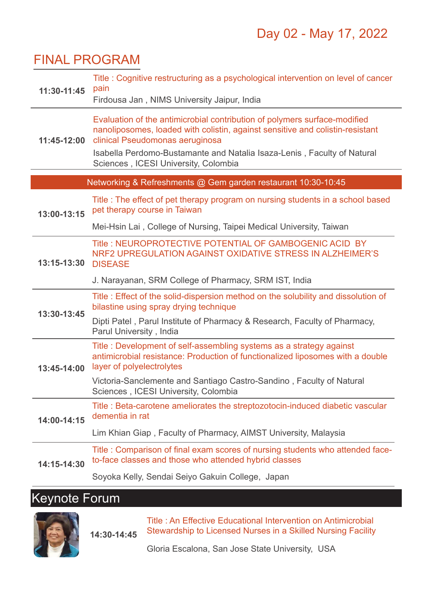#### FINAL PROGRAM

ł 

| 11:30-11:45                                                   | Title: Cognitive restructuring as a psychological intervention on level of cancer<br>pain<br>Firdousa Jan, NIMS University Jaipur, India                                                                                                                                                                         |  |  |  |  |  |
|---------------------------------------------------------------|------------------------------------------------------------------------------------------------------------------------------------------------------------------------------------------------------------------------------------------------------------------------------------------------------------------|--|--|--|--|--|
| 11:45-12:00                                                   | Evaluation of the antimicrobial contribution of polymers surface-modified<br>nanoliposomes, loaded with colistin, against sensitive and colistin-resistant<br>clinical Pseudomonas aeruginosa<br>Isabella Perdomo-Bustamante and Natalia Isaza-Lenis, Faculty of Natural<br>Sciences, ICESI University, Colombia |  |  |  |  |  |
| Networking & Refreshments @ Gem garden restaurant 10:30-10:45 |                                                                                                                                                                                                                                                                                                                  |  |  |  |  |  |
| 13:00-13:15                                                   | Title : The effect of pet therapy program on nursing students in a school based<br>pet therapy course in Taiwan                                                                                                                                                                                                  |  |  |  |  |  |
|                                                               | Mei-Hsin Lai, College of Nursing, Taipei Medical University, Taiwan                                                                                                                                                                                                                                              |  |  |  |  |  |
| 13:15-13:30                                                   | Title: NEUROPROTECTIVE POTENTIAL OF GAMBOGENIC ACID BY<br>NRF2 UPREGULATION AGAINST OXIDATIVE STRESS IN ALZHEIMER'S<br><b>DISEASE</b>                                                                                                                                                                            |  |  |  |  |  |
|                                                               | J. Narayanan, SRM College of Pharmacy, SRM IST, India                                                                                                                                                                                                                                                            |  |  |  |  |  |
| 13:30-13:45                                                   | Title: Effect of the solid-dispersion method on the solubility and dissolution of<br>bilastine using spray drying technique                                                                                                                                                                                      |  |  |  |  |  |
|                                                               | Dipti Patel, Parul Institute of Pharmacy & Research, Faculty of Pharmacy,<br>Parul University, India                                                                                                                                                                                                             |  |  |  |  |  |
| 13:45-14:00                                                   | Title: Development of self-assembling systems as a strategy against<br>antimicrobial resistance: Production of functionalized liposomes with a double<br>layer of polyelectrolytes                                                                                                                               |  |  |  |  |  |
|                                                               | Victoria-Sanclemente and Santiago Castro-Sandino, Faculty of Natural<br>Sciences, ICESI University, Colombia                                                                                                                                                                                                     |  |  |  |  |  |
| 14:00-14:15                                                   | Title : Beta-carotene ameliorates the streptozotocin-induced diabetic vascular<br>dementia in rat                                                                                                                                                                                                                |  |  |  |  |  |
|                                                               | Lim Khian Giap, Faculty of Pharmacy, AIMST University, Malaysia                                                                                                                                                                                                                                                  |  |  |  |  |  |
| 14:15-14:30                                                   | Title: Comparison of final exam scores of nursing students who attended face-<br>to-face classes and those who attended hybrid classes                                                                                                                                                                           |  |  |  |  |  |
|                                                               | Soyoka Kelly, Sendai Seiyo Gakuin College, Japan                                                                                                                                                                                                                                                                 |  |  |  |  |  |

# Keynote Forum



**14:30-14:45**

Title : An Effective Educational Intervention on Antimicrobial Stewardship to Licensed Nurses in a Skilled Nursing Facility

Gloria Escalona, San Jose State University, USA